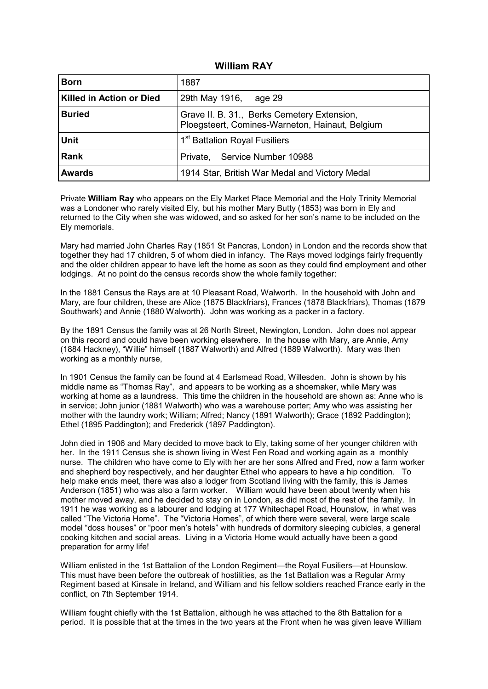#### **William RAY**

| <b>Born</b>                     | 1887                                                                                           |
|---------------------------------|------------------------------------------------------------------------------------------------|
| <b>Killed in Action or Died</b> | 29th May 1916,<br>age 29                                                                       |
| <b>Buried</b>                   | Grave II. B. 31., Berks Cemetery Extension,<br>Ploegsteert, Comines-Warneton, Hainaut, Belgium |
| <b>Unit</b>                     | 1 <sup>st</sup> Battalion Royal Fusiliers                                                      |
| <b>Rank</b>                     | Private, Service Number 10988                                                                  |
| <b>Awards</b>                   | 1914 Star, British War Medal and Victory Medal                                                 |

Private **William Ray** who appears on the Ely Market Place Memorial and the Holy Trinity Memorial was a Londoner who rarely visited Ely, but his mother Mary Butty (1853) was born in Ely and returned to the City when she was widowed, and so asked for her son's name to be included on the Ely memorials.

Mary had married John Charles Ray (1851 St Pancras, London) in London and the records show that together they had 17 children, 5 of whom died in infancy. The Rays moved lodgings fairly frequently and the older children appear to have left the home as soon as they could find employment and other lodgings. At no point do the census records show the whole family together:

In the 1881 Census the Rays are at 10 Pleasant Road, Walworth. In the household with John and Mary, are four children, these are Alice (1875 Blackfriars), Frances (1878 Blackfriars), Thomas (1879 Southwark) and Annie (1880 Walworth). John was working as a packer in a factory.

By the 1891 Census the family was at 26 North Street, Newington, London. John does not appear on this record and could have been working elsewhere. In the house with Mary, are Annie, Amy (1884 Hackney), "Willie" himself (1887 Walworth) and Alfred (1889 Walworth). Mary was then working as a monthly nurse,

In 1901 Census the family can be found at 4 Earlsmead Road, Willesden. John is shown by his middle name as "Thomas Ray", and appears to be working as a shoemaker, while Mary was working at home as a laundress. This time the children in the household are shown as: Anne who is in service; John junior (1881 Walworth) who was a warehouse porter; Amy who was assisting her mother with the laundry work; William; Alfred; Nancy (1891 Walworth); Grace (1892 Paddington); Ethel (1895 Paddington); and Frederick (1897 Paddington).

John died in 1906 and Mary decided to move back to Ely, taking some of her younger children with her. In the 1911 Census she is shown living in West Fen Road and working again as a monthly nurse. The children who have come to Ely with her are her sons Alfred and Fred, now a farm worker and shepherd boy respectively, and her daughter Ethel who appears to have a hip condition. To help make ends meet, there was also a lodger from Scotland living with the family, this is James Anderson (1851) who was also a farm worker. William would have been about twenty when his mother moved away, and he decided to stay on in London, as did most of the rest of the family. In 1911 he was working as a labourer and lodging at 177 Whitechapel Road, Hounslow, in what was called "The Victoria Home". The "Victoria Homes", of which there were several, were large scale model "doss houses" or "poor men's hotels" with hundreds of dormitory sleeping cubicles, a general cooking kitchen and social areas. Living in a Victoria Home would actually have been a good preparation for army life!

William enlisted in the 1st Battalion of the London Regiment—the Royal Fusiliers—at Hounslow. This must have been before the outbreak of hostilities, as the 1st Battalion was a Regular Army Regiment based at Kinsale in Ireland, and William and his fellow soldiers reached France early in the conflict, on 7th September 1914.

William fought chiefly with the 1st Battalion, although he was attached to the 8th Battalion for a period. It is possible that at the times in the two years at the Front when he was given leave William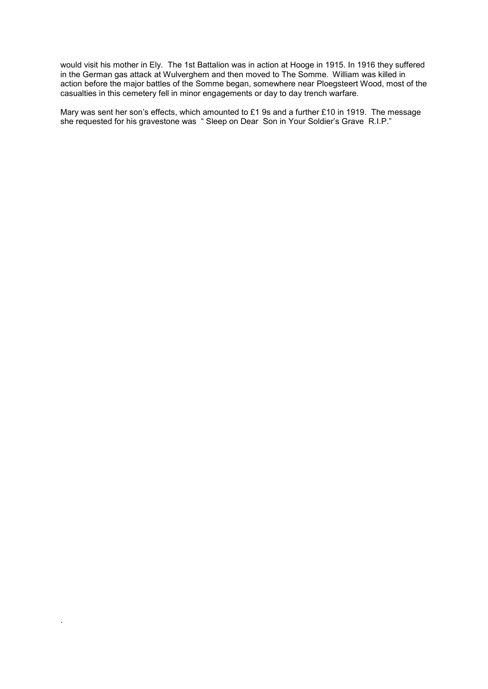would visit his mother in Ely. The 1st Battalion was in action at Hooge in 1915. In 1916 they suffered in the German gas attack at Wulverghem and then moved to The Somme. William was killed in action before the major battles of the Somme began, somewhere near Ploegsteert Wood, most of the casualties in this cemetery fell in minor engagements or day to day trench warfare.

Mary was sent her son's effects, which amounted to £1 9s and a further £10 in 1919. The message she requested for his gravestone was " Sleep on Dear Son in Your Soldier's Grave R.I.P."

.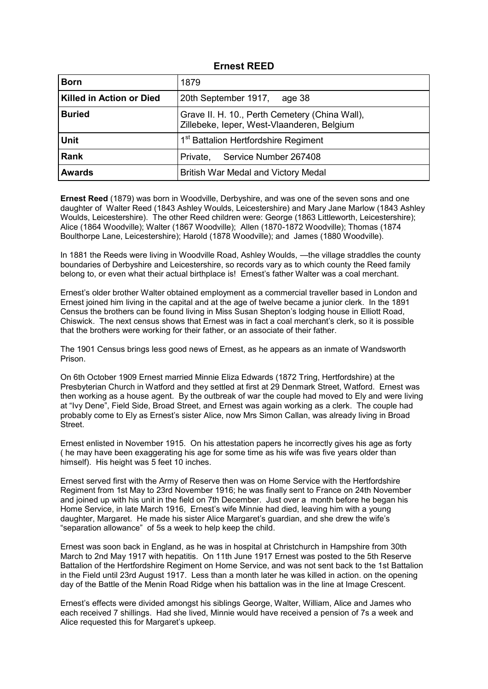#### **Ernest REED**

| <b>Born</b>                     | 1879                                                                                         |
|---------------------------------|----------------------------------------------------------------------------------------------|
| <b>Killed in Action or Died</b> | 20th September 1917,<br>age 38                                                               |
| <b>Buried</b>                   | Grave II. H. 10., Perth Cemetery (China Wall),<br>Zillebeke, leper, West-Vlaanderen, Belgium |
| <b>Unit</b>                     | 1 <sup>st</sup> Battalion Hertfordshire Regiment                                             |
| <b>Rank</b>                     | Private, Service Number 267408                                                               |
| <b>Awards</b>                   | British War Medal and Victory Medal                                                          |

**Ernest Reed** (1879) was born in Woodville, Derbyshire, and was one of the seven sons and one daughter of Walter Reed (1843 Ashley Woulds, Leicestershire) and Mary Jane Marlow (1843 Ashley Woulds, Leicestershire). The other Reed children were: George (1863 Littleworth, Leicestershire); Alice (1864 Woodville); Walter (1867 Woodville); Allen (1870-1872 Woodville); Thomas (1874 Boulthorpe Lane, Leicestershire); Harold (1878 Woodville); and James (1880 Woodville).

In 1881 the Reeds were living in Woodville Road, Ashley Woulds, —the village straddles the county boundaries of Derbyshire and Leicestershire, so records vary as to which county the Reed family belong to, or even what their actual birthplace is! Ernest's father Walter was a coal merchant.

Ernest's older brother Walter obtained employment as a commercial traveller based in London and Ernest joined him living in the capital and at the age of twelve became a junior clerk. In the 1891 Census the brothers can be found living in Miss Susan Shepton's lodging house in Elliott Road, Chiswick. The next census shows that Ernest was in fact a coal merchant's clerk, so it is possible that the brothers were working for their father, or an associate of their father.

The 1901 Census brings less good news of Ernest, as he appears as an inmate of Wandsworth Prison.

On 6th October 1909 Ernest married Minnie Eliza Edwards (1872 Tring, Hertfordshire) at the Presbyterian Church in Watford and they settled at first at 29 Denmark Street, Watford. Ernest was then working as a house agent. By the outbreak of war the couple had moved to Ely and were living at "Ivy Dene", Field Side, Broad Street, and Ernest was again working as a clerk. The couple had probably come to Ely as Ernest's sister Alice, now Mrs Simon Callan, was already living in Broad Street.

Ernest enlisted in November 1915. On his attestation papers he incorrectly gives his age as forty ( he may have been exaggerating his age for some time as his wife was five years older than himself). His height was 5 feet 10 inches.

Ernest served first with the Army of Reserve then was on Home Service with the Hertfordshire Regiment from 1st May to 23rd November 1916; he was finally sent to France on 24th November and joined up with his unit in the field on 7th December. Just over a month before he began his Home Service, in late March 1916, Ernest's wife Minnie had died, leaving him with a young daughter, Margaret. He made his sister Alice Margaret's guardian, and she drew the wife's "separation allowance" of 5s a week to help keep the child.

Ernest was soon back in England, as he was in hospital at Christchurch in Hampshire from 30th March to 2nd May 1917 with hepatitis. On 11th June 1917 Ernest was posted to the 5th Reserve Battalion of the Hertfordshire Regiment on Home Service, and was not sent back to the 1st Battalion in the Field until 23rd August 1917. Less than a month later he was killed in action. on the opening day of the Battle of the Menin Road Ridge when his battalion was in the line at Image Crescent.

Ernest's effects were divided amongst his siblings George, Walter, William, Alice and James who each received 7 shillings. Had she lived, Minnie would have received a pension of 7s a week and Alice requested this for Margaret's upkeep.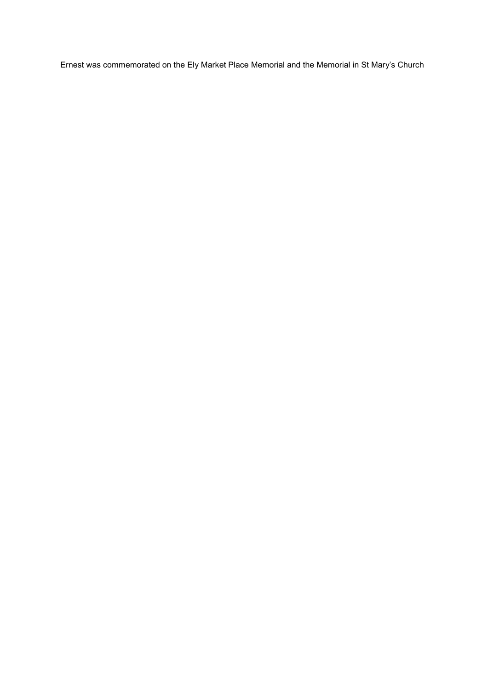Ernest was commemorated on the Ely Market Place Memorial and the Memorial in St Mary's Church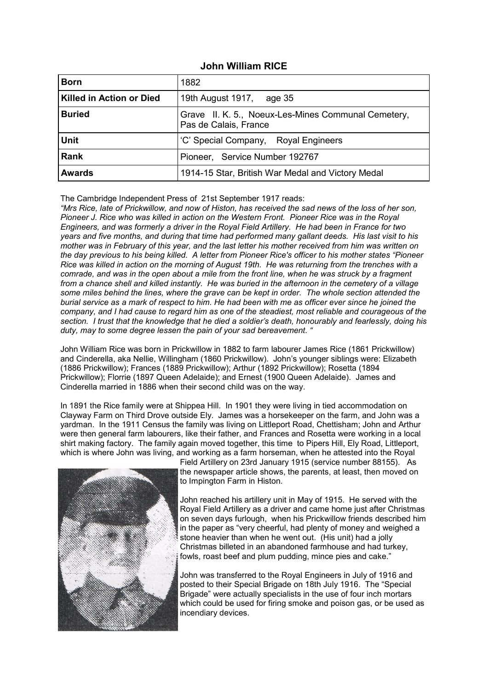#### **John William RICE**

| <b>Born</b>              | 1882                                                                         |
|--------------------------|------------------------------------------------------------------------------|
| Killed in Action or Died | 19th August 1917, age 35                                                     |
| <b>Buried</b>            | Grave II. K. 5., Noeux-Les-Mines Communal Cemetery,<br>Pas de Calais, France |
| <b>Unit</b>              | 'C' Special Company, Royal Engineers                                         |
| <b>Rank</b>              | Pioneer, Service Number 192767                                               |
| <b>Awards</b>            | 1914-15 Star, British War Medal and Victory Medal                            |

The Cambridge Independent Press of 21st September 1917 reads:

*"Mrs Rice, late of Prickwillow, and now of Histon, has received the sad news of the loss of her son, Pioneer J. Rice who was killed in action on the Western Front. Pioneer Rice was in the Royal Engineers, and was formerly a driver in the Royal Field Artillery. He had been in France for two years and five months, and during that time had performed many gallant deeds. His last visit to his mother was in February of this year, and the last letter his mother received from him was written on the day previous to his being killed. A letter from Pioneer Rice's officer to his mother states "Pioneer Rice was killed in action on the morning of August 19th. He was returning from the trenches with a comrade, and was in the open about a mile from the front line, when he was struck by a fragment from a chance shell and killed instantly. He was buried in the afternoon in the cemetery of a village some miles behind the lines, where the grave can be kept in order. The whole section attended the burial service as a mark of respect to him. He had been with me as officer ever since he joined the company, and I had cause to regard him as one of the steadiest, most reliable and courageous of the section. I trust that the knowledge that he died a soldier's death, honourably and fearlessly, doing his duty, may to some degree lessen the pain of your sad bereavement. "*

John William Rice was born in Prickwillow in 1882 to farm labourer James Rice (1861 Prickwillow) and Cinderella, aka Nellie, Willingham (1860 Prickwillow). John's younger siblings were: Elizabeth (1886 Prickwillow); Frances (1889 Prickwillow); Arthur (1892 Prickwillow); Rosetta (1894 Prickwillow); Florrie (1897 Queen Adelaide); and Ernest (1900 Queen Adelaide). James and Cinderella married in 1886 when their second child was on the way.

In 1891 the Rice family were at Shippea Hill. In 1901 they were living in tied accommodation on Clayway Farm on Third Drove outside Ely. James was a horsekeeper on the farm, and John was a yardman. In the 1911 Census the family was living on Littleport Road, Chettisham; John and Arthur were then general farm labourers, like their father, and Frances and Rosetta were working in a local shirt making factory. The family again moved together, this time to Pipers Hill, Ely Road, Littleport, which is where John was living, and working as a farm horseman, when he attested into the Royal



Field Artillery on 23rd January 1915 (service number 88155). As the newspaper article shows, the parents, at least, then moved on to Impington Farm in Histon.

John reached his artillery unit in May of 1915. He served with the Royal Field Artillery as a driver and came home just after Christmas on seven days furlough, when his Prickwillow friends described him in the paper as "very cheerful, had plenty of money and weighed a stone heavier than when he went out. (His unit) had a jolly Christmas billeted in an abandoned farmhouse and had turkey, fowls, roast beef and plum pudding, mince pies and cake."

John was transferred to the Royal Engineers in July of 1916 and posted to their Special Brigade on 18th July 1916. The "Special Brigade" were actually specialists in the use of four inch mortars which could be used for firing smoke and poison gas, or be used as incendiary devices.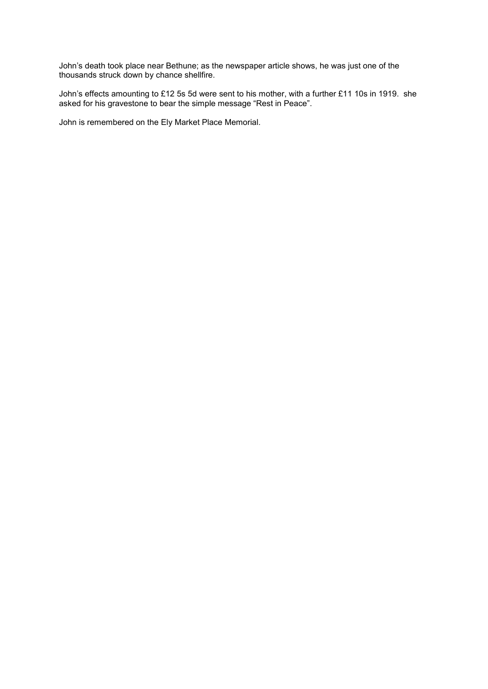John's death took place near Bethune; as the newspaper article shows, he was just one of the thousands struck down by chance shellfire.

John's effects amounting to £12 5s 5d were sent to his mother, with a further £11 10s in 1919. she asked for his gravestone to bear the simple message "Rest in Peace".

John is remembered on the Ely Market Place Memorial.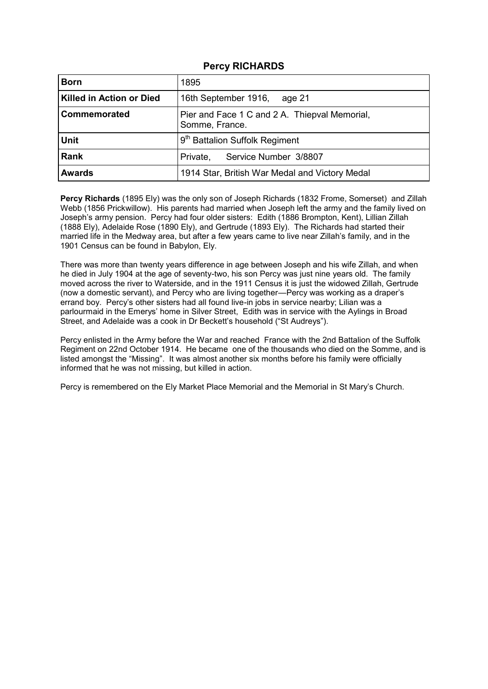## **Percy RICHARDS**

| <b>Born</b>                     | 1895                                                            |
|---------------------------------|-----------------------------------------------------------------|
| <b>Killed in Action or Died</b> | 16th September 1916,<br>age 21                                  |
| <b>Commemorated</b>             | Pier and Face 1 C and 2 A. Thiepval Memorial,<br>Somme, France. |
| <b>Unit</b>                     | 9 <sup>th</sup> Battalion Suffolk Regiment                      |
| <b>Rank</b>                     | Service Number 3/8807<br>Private,                               |
| <b>Awards</b>                   | 1914 Star, British War Medal and Victory Medal                  |

**Percy Richards** (1895 Ely) was the only son of Joseph Richards (1832 Frome, Somerset) and Zillah Webb (1856 Prickwillow). His parents had married when Joseph left the army and the family lived on Joseph's army pension. Percy had four older sisters: Edith (1886 Brompton, Kent), Lillian Zillah (1888 Ely), Adelaide Rose (1890 Ely), and Gertrude (1893 Ely). The Richards had started their married life in the Medway area, but after a few years came to live near Zillah's family, and in the 1901 Census can be found in Babylon, Ely.

There was more than twenty years difference in age between Joseph and his wife Zillah, and when he died in July 1904 at the age of seventy-two, his son Percy was just nine years old. The family moved across the river to Waterside, and in the 1911 Census it is just the widowed Zillah, Gertrude (now a domestic servant), and Percy who are living together—Percy was working as a draper's errand boy. Percy's other sisters had all found live-in jobs in service nearby; Lilian was a parlourmaid in the Emerys' home in Silver Street, Edith was in service with the Aylings in Broad Street, and Adelaide was a cook in Dr Beckett's household ("St Audreys").

Percy enlisted in the Army before the War and reached France with the 2nd Battalion of the Suffolk Regiment on 22nd October 1914. He became one of the thousands who died on the Somme, and is listed amongst the "Missing". It was almost another six months before his family were officially informed that he was not missing, but killed in action.

Percy is remembered on the Ely Market Place Memorial and the Memorial in St Mary's Church.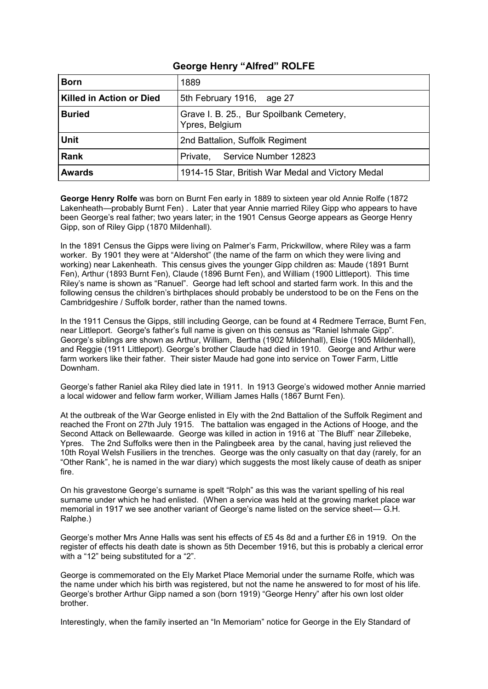## **George Henry "Alfred" ROLFE**

| <b>Born</b>                     | 1889                                                       |
|---------------------------------|------------------------------------------------------------|
| <b>Killed in Action or Died</b> | 5th February 1916, age 27                                  |
| <b>Buried</b>                   | Grave I. B. 25., Bur Spoilbank Cemetery,<br>Ypres, Belgium |
| <b>Unit</b>                     | 2nd Battalion, Suffolk Regiment                            |
| <b>Rank</b>                     | Private, Service Number 12823                              |
| <b>Awards</b>                   | 1914-15 Star, British War Medal and Victory Medal          |

**George Henry Rolfe** was born on Burnt Fen early in 1889 to sixteen year old Annie Rolfe (1872 Lakenheath—probably Burnt Fen) . Later that year Annie married Riley Gipp who appears to have been George's real father; two years later; in the 1901 Census George appears as George Henry Gipp, son of Riley Gipp (1870 Mildenhall).

In the 1891 Census the Gipps were living on Palmer's Farm, Prickwillow, where Riley was a farm worker. By 1901 they were at "Aldershot" (the name of the farm on which they were living and working) near Lakenheath. This census gives the younger Gipp children as: Maude (1891 Burnt Fen), Arthur (1893 Burnt Fen), Claude (1896 Burnt Fen), and William (1900 Littleport). This time Riley's name is shown as "Ranuel". George had left school and started farm work. In this and the following census the children's birthplaces should probably be understood to be on the Fens on the Cambridgeshire / Suffolk border, rather than the named towns.

In the 1911 Census the Gipps, still including George, can be found at 4 Redmere Terrace, Burnt Fen, near Littleport. George's father's full name is given on this census as "Raniel Ishmale Gipp". George's siblings are shown as Arthur, William, Bertha (1902 Mildenhall), Elsie (1905 Mildenhall), and Reggie (1911 Littleport). George's brother Claude had died in 1910. George and Arthur were farm workers like their father. Their sister Maude had gone into service on Tower Farm, Little Downham.

George's father Raniel aka Riley died late in 1911. In 1913 George's widowed mother Annie married a local widower and fellow farm worker, William James Halls (1867 Burnt Fen).

At the outbreak of the War George enlisted in Ely with the 2nd Battalion of the Suffolk Regiment and reached the Front on 27th July 1915. The battalion was engaged in the Actions of Hooge, and the Second Attack on Bellewaarde. George was killed in action in 1916 at `The Bluff` near Zillebeke, Ypres. The 2nd Suffolks were then in the Palingbeek area by the canal, having just relieved the 10th Royal Welsh Fusiliers in the trenches. George was the only casualty on that day (rarely, for an "Other Rank", he is named in the war diary) which suggests the most likely cause of death as sniper fire.

On his gravestone George's surname is spelt "Rolph" as this was the variant spelling of his real surname under which he had enlisted. (When a service was held at the growing market place war memorial in 1917 we see another variant of George's name listed on the service sheet— G.H. Ralphe.)

George's mother Mrs Anne Halls was sent his effects of £5 4s 8d and a further £6 in 1919. On the register of effects his death date is shown as 5th December 1916, but this is probably a clerical error with a "12" being substituted for a "2".

George is commemorated on the Ely Market Place Memorial under the surname Rolfe, which was the name under which his birth was registered, but not the name he answered to for most of his life. George's brother Arthur Gipp named a son (born 1919) "George Henry" after his own lost older brother.

Interestingly, when the family inserted an "In Memoriam" notice for George in the Ely Standard of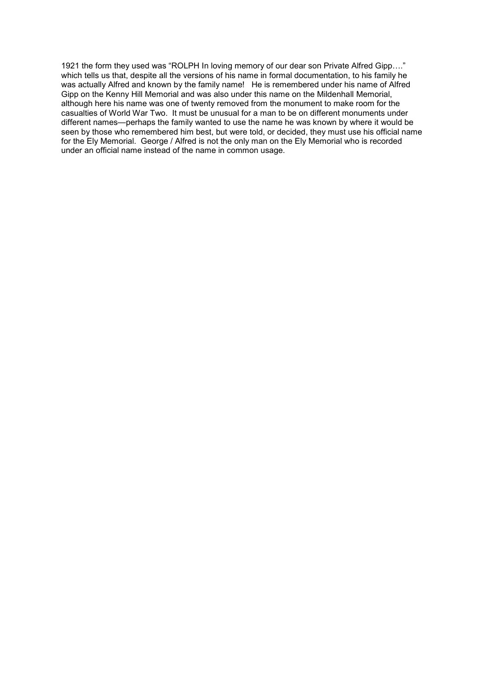1921 the form they used was "ROLPH In loving memory of our dear son Private Alfred Gipp…." which tells us that, despite all the versions of his name in formal documentation, to his family he was actually Alfred and known by the family name! He is remembered under his name of Alfred Gipp on the Kenny Hill Memorial and was also under this name on the Mildenhall Memorial, although here his name was one of twenty removed from the monument to make room for the casualties of World War Two. It must be unusual for a man to be on different monuments under different names—perhaps the family wanted to use the name he was known by where it would be seen by those who remembered him best, but were told, or decided, they must use his official name for the Ely Memorial. George / Alfred is not the only man on the Ely Memorial who is recorded under an official name instead of the name in common usage.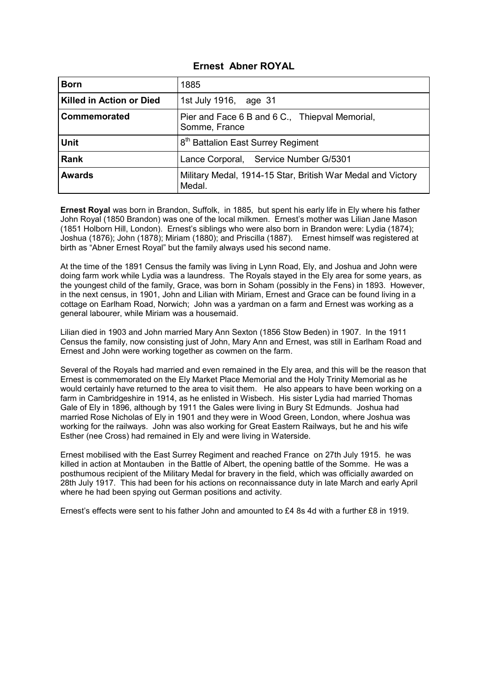## **Ernest Abner ROYAL**

| <b>Born</b>              | 1885                                                                  |
|--------------------------|-----------------------------------------------------------------------|
| Killed in Action or Died | 1st July 1916, age 31                                                 |
| Commemorated             | Pier and Face 6 B and 6 C., Thiepval Memorial,<br>Somme, France       |
| <b>Unit</b>              | 8 <sup>th</sup> Battalion East Surrey Regiment                        |
| <b>Rank</b>              | Lance Corporal, Service Number G/5301                                 |
| <b>Awards</b>            | Military Medal, 1914-15 Star, British War Medal and Victory<br>Medal. |

**Ernest Royal** was born in Brandon, Suffolk, in 1885, but spent his early life in Ely where his father John Royal (1850 Brandon) was one of the local milkmen. Ernest's mother was Lilian Jane Mason (1851 Holborn Hill, London). Ernest's siblings who were also born in Brandon were: Lydia (1874); Joshua (1876); John (1878); Miriam (1880); and Priscilla (1887). Ernest himself was registered at birth as "Abner Ernest Royal" but the family always used his second name.

At the time of the 1891 Census the family was living in Lynn Road, Ely, and Joshua and John were doing farm work while Lydia was a laundress. The Royals stayed in the Ely area for some years, as the youngest child of the family, Grace, was born in Soham (possibly in the Fens) in 1893. However, in the next census, in 1901, John and Lilian with Miriam, Ernest and Grace can be found living in a cottage on Earlham Road, Norwich; John was a yardman on a farm and Ernest was working as a general labourer, while Miriam was a housemaid.

Lilian died in 1903 and John married Mary Ann Sexton (1856 Stow Beden) in 1907. In the 1911 Census the family, now consisting just of John, Mary Ann and Ernest, was still in Earlham Road and Ernest and John were working together as cowmen on the farm.

Several of the Royals had married and even remained in the Ely area, and this will be the reason that Ernest is commemorated on the Ely Market Place Memorial and the Holy Trinity Memorial as he would certainly have returned to the area to visit them. He also appears to have been working on a farm in Cambridgeshire in 1914, as he enlisted in Wisbech. His sister Lydia had married Thomas Gale of Ely in 1896, although by 1911 the Gales were living in Bury St Edmunds. Joshua had married Rose Nicholas of Ely in 1901 and they were in Wood Green, London, where Joshua was working for the railways. John was also working for Great Eastern Railways, but he and his wife Esther (nee Cross) had remained in Ely and were living in Waterside.

Ernest mobilised with the East Surrey Regiment and reached France on 27th July 1915. he was killed in action at Montauben in the Battle of Albert, the opening battle of the Somme. He was a posthumous recipient of the Military Medal for bravery in the field, which was officially awarded on 28th July 1917. This had been for his actions on reconnaissance duty in late March and early April where he had been spying out German positions and activity.

Ernest's effects were sent to his father John and amounted to £4 8s 4d with a further £8 in 1919.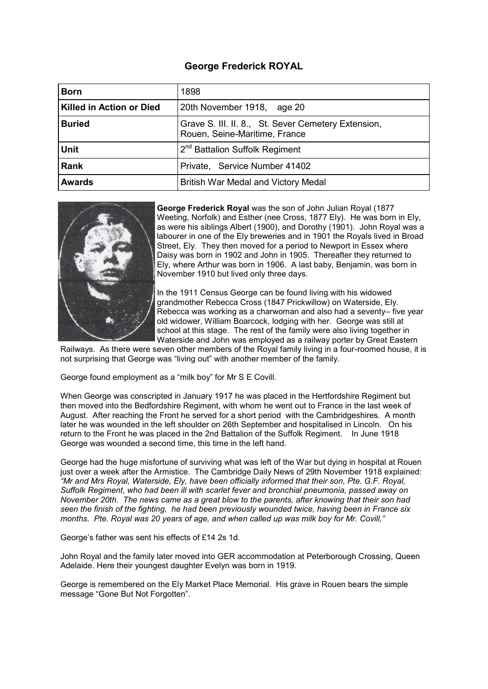# **George Frederick ROYAL**

| <b>Born</b>              | 1898                                                                                 |
|--------------------------|--------------------------------------------------------------------------------------|
| Killed in Action or Died | 20th November 1918, age 20                                                           |
| <b>Buried</b>            | Grave S. III. II. 8., St. Sever Cemetery Extension,<br>Rouen, Seine-Maritime, France |
| <b>Unit</b>              | 2 <sup>nd</sup> Battalion Suffolk Regiment                                           |
| <b>Rank</b>              | Private, Service Number 41402                                                        |
| <b>Awards</b>            | British War Medal and Victory Medal                                                  |



**George Frederick Royal** was the son of John Julian Royal (1877 Weeting, Norfolk) and Esther (nee Cross, 1877 Ely). He was born in Ely, as were his siblings Albert (1900), and Dorothy (1901). John Royal was a labourer in one of the Ely breweries and in 1901 the Royals lived in Broad Street, Ely. They then moved for a period to Newport in Essex where Daisy was born in 1902 and John in 1905. Thereafter they returned to Ely, where Arthur was born in 1906. A last baby, Benjamin, was born in November 1910 but lived only three days.

In the 1911 Census George can be found living with his widowed grandmother Rebecca Cross (1847 Prickwillow) on Waterside, Ely. Rebecca was working as a charwoman and also had a seventy– five year old widower, William Boarcock, lodging with her. George was still at school at this stage. The rest of the family were also living together in Waterside and John was employed as a railway porter by Great Eastern

Railways. As there were seven other members of the Royal family living in a four-roomed house, it is not surprising that George was "living out" with another member of the family.

George found employment as a "milk boy" for Mr S E Covill.

When George was conscripted in January 1917 he was placed in the Hertfordshire Regiment but then moved into the Bedfordshire Regiment, with whom he went out to France in the last week of August. After reaching the Front he served for a short period with the Cambridgeshires. A month later he was wounded in the left shoulder on 26th September and hospitalised in Lincoln. On his return to the Front he was placed in the 2nd Battalion of the Suffolk Regiment. In June 1918 George was wounded a second time, this time in the left hand.

George had the huge misfortune of surviving what was left of the War but dying in hospital at Rouen just over a week after the Armistice. The Cambridge Daily News of 29th November 1918 explained: *"Mr and Mrs Royal, Waterside, Ely, have been officially informed that their son, Pte. G.F. Royal, Suffolk Regiment, who had been ill with scarlet fever and bronchial pneumonia, passed away on November 20th. The news came as a great blow to the parents, after knowing that their son had seen the finish of the fighting, he had been previously wounded twice, having been in France six months. Pte. Royal was 20 years of age, and when called up was milk boy for Mr. Covill,"* 

George's father was sent his effects of £14 2s 1d.

John Royal and the family later moved into GER accommodation at Peterborough Crossing, Queen Adelaide. Here their youngest daughter Evelyn was born in 1919.

George is remembered on the Ely Market Place Memorial. His grave in Rouen bears the simple message "Gone But Not Forgotten".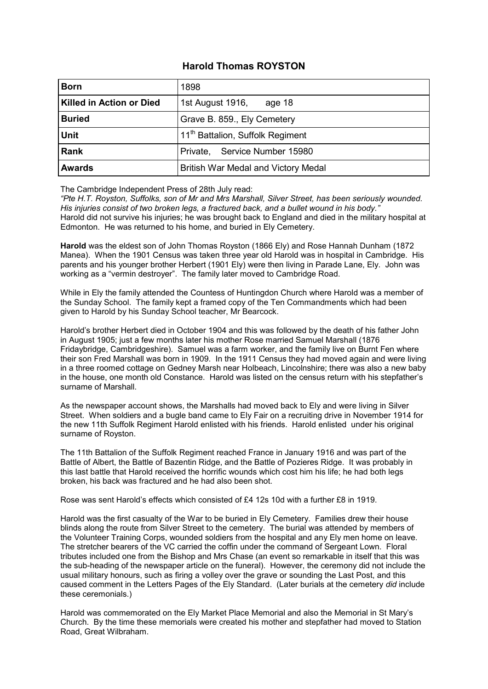## **Harold Thomas ROYSTON**

| <b>Born</b>              | 1898                                         |
|--------------------------|----------------------------------------------|
| Killed in Action or Died | 1st August 1916,<br>age 18                   |
| <b>Buried</b>            | Grave B. 859., Ely Cemetery                  |
| <b>Unit</b>              | 11 <sup>th</sup> Battalion, Suffolk Regiment |
| Rank                     | Service Number 15980<br>Private,             |
| <b>Awards</b>            | British War Medal and Victory Medal          |

The Cambridge Independent Press of 28th July read:

*"Pte H.T. Royston, Suffolks, son of Mr and Mrs Marshall, Silver Street, has been seriously wounded. His injuries consist of two broken legs, a fractured back, and a bullet wound in his body."*  Harold did not survive his injuries; he was brought back to England and died in the military hospital at Edmonton. He was returned to his home, and buried in Ely Cemetery.

**Harold** was the eldest son of John Thomas Royston (1866 Ely) and Rose Hannah Dunham (1872 Manea). When the 1901 Census was taken three year old Harold was in hospital in Cambridge. His parents and his younger brother Herbert (1901 Ely) were then living in Parade Lane, Ely. John was working as a "vermin destroyer". The family later moved to Cambridge Road.

While in Ely the family attended the Countess of Huntingdon Church where Harold was a member of the Sunday School. The family kept a framed copy of the Ten Commandments which had been given to Harold by his Sunday School teacher, Mr Bearcock.

Harold's brother Herbert died in October 1904 and this was followed by the death of his father John in August 1905; just a few months later his mother Rose married Samuel Marshall (1876 Fridaybridge, Cambridgeshire). Samuel was a farm worker, and the family live on Burnt Fen where their son Fred Marshall was born in 1909. In the 1911 Census they had moved again and were living in a three roomed cottage on Gedney Marsh near Holbeach, Lincolnshire; there was also a new baby in the house, one month old Constance. Harold was listed on the census return with his stepfather's surname of Marshall.

As the newspaper account shows, the Marshalls had moved back to Ely and were living in Silver Street. When soldiers and a bugle band came to Ely Fair on a recruiting drive in November 1914 for the new 11th Suffolk Regiment Harold enlisted with his friends. Harold enlisted under his original surname of Royston.

The 11th Battalion of the Suffolk Regiment reached France in January 1916 and was part of the Battle of Albert, the Battle of Bazentin Ridge, and the Battle of Pozieres Ridge. It was probably in this last battle that Harold received the horrific wounds which cost him his life; he had both legs broken, his back was fractured and he had also been shot.

Rose was sent Harold's effects which consisted of £4 12s 10d with a further £8 in 1919.

Harold was the first casualty of the War to be buried in Ely Cemetery. Families drew their house blinds along the route from Silver Street to the cemetery. The burial was attended by members of the Volunteer Training Corps, wounded soldiers from the hospital and any Ely men home on leave. The stretcher bearers of the VC carried the coffin under the command of Sergeant Lown. Floral tributes included one from the Bishop and Mrs Chase (an event so remarkable in itself that this was the sub-heading of the newspaper article on the funeral). However, the ceremony did not include the usual military honours, such as firing a volley over the grave or sounding the Last Post, and this caused comment in the Letters Pages of the Ely Standard. (Later burials at the cemetery *did* include these ceremonials.)

Harold was commemorated on the Ely Market Place Memorial and also the Memorial in St Mary's Church. By the time these memorials were created his mother and stepfather had moved to Station Road, Great Wilbraham.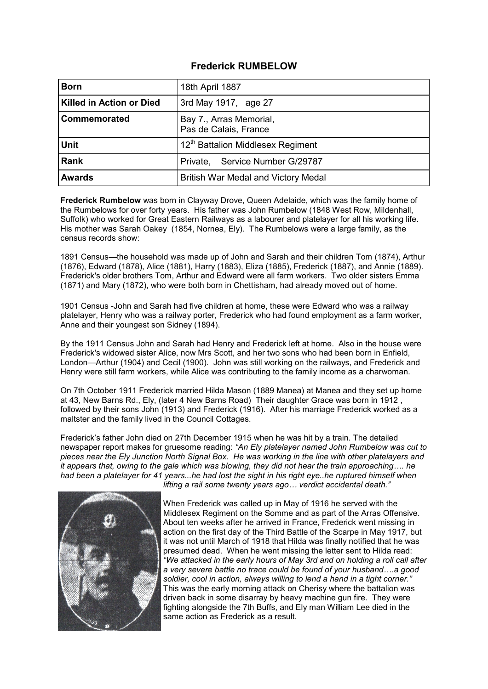## **Frederick RUMBELOW**

| <b>Born</b>                     | 18th April 1887                                  |
|---------------------------------|--------------------------------------------------|
| <b>Killed in Action or Died</b> | 3rd May 1917, age 27                             |
| Commemorated                    | Bay 7., Arras Memorial,<br>Pas de Calais, France |
| <b>Unit</b>                     | 12 <sup>th</sup> Battalion Middlesex Regiment    |
| Rank                            | Private, Service Number G/29787                  |
| <b>Awards</b>                   | British War Medal and Victory Medal              |

**Frederick Rumbelow** was born in Clayway Drove, Queen Adelaide, which was the family home of the Rumbelows for over forty years. His father was John Rumbelow (1848 West Row, Mildenhall, Suffolk) who worked for Great Eastern Railways as a labourer and platelayer for all his working life. His mother was Sarah Oakey (1854, Nornea, Ely). The Rumbelows were a large family, as the census records show:

1891 Census—the household was made up of John and Sarah and their children Tom (1874), Arthur (1876), Edward (1878), Alice (1881), Harry (1883), Eliza (1885), Frederick (1887), and Annie (1889). Frederick's older brothers Tom, Arthur and Edward were all farm workers. Two older sisters Emma (1871) and Mary (1872), who were both born in Chettisham, had already moved out of home.

1901 Census -John and Sarah had five children at home, these were Edward who was a railway platelayer, Henry who was a railway porter, Frederick who had found employment as a farm worker, Anne and their youngest son Sidney (1894).

By the 1911 Census John and Sarah had Henry and Frederick left at home. Also in the house were Frederick's widowed sister Alice, now Mrs Scott, and her two sons who had been born in Enfield, London—Arthur (1904) and Cecil (1900). John was still working on the railways, and Frederick and Henry were still farm workers, while Alice was contributing to the family income as a charwoman.

On 7th October 1911 Frederick married Hilda Mason (1889 Manea) at Manea and they set up home at 43, New Barns Rd., Ely, (later 4 New Barns Road) Their daughter Grace was born in 1912 , followed by their sons John (1913) and Frederick (1916). After his marriage Frederick worked as a maltster and the family lived in the Council Cottages.

Frederick's father John died on 27th December 1915 when he was hit by a train. The detailed newspaper report makes for gruesome reading: *"An Ely platelayer named John Rumbelow was cut to pieces near the Ely Junction North Signal Box. He was working in the line with other platelayers and it appears that, owing to the gale which was blowing, they did not hear the train approaching…. he had been a platelayer for 41 years...he had lost the sight in his right eye..he ruptured himself when* 



*lifting a rail some twenty years ago… verdict accidental death."*

When Frederick was called up in May of 1916 he served with the Middlesex Regiment on the Somme and as part of the Arras Offensive. About ten weeks after he arrived in France, Frederick went missing in action on the first day of the Third Battle of the Scarpe in May 1917, but it was not until March of 1918 that Hilda was finally notified that he was presumed dead. When he went missing the letter sent to Hilda read: *"We attacked in the early hours of May 3rd and on holding a roll call after a very severe battle no trace could be found of your husband….a good soldier, cool in action, always willing to lend a hand in a tight corner."*  This was the early morning attack on Cherisy where the battalion was driven back in some disarray by heavy machine gun fire. They were fighting alongside the 7th Buffs, and Ely man William Lee died in the same action as Frederick as a result.